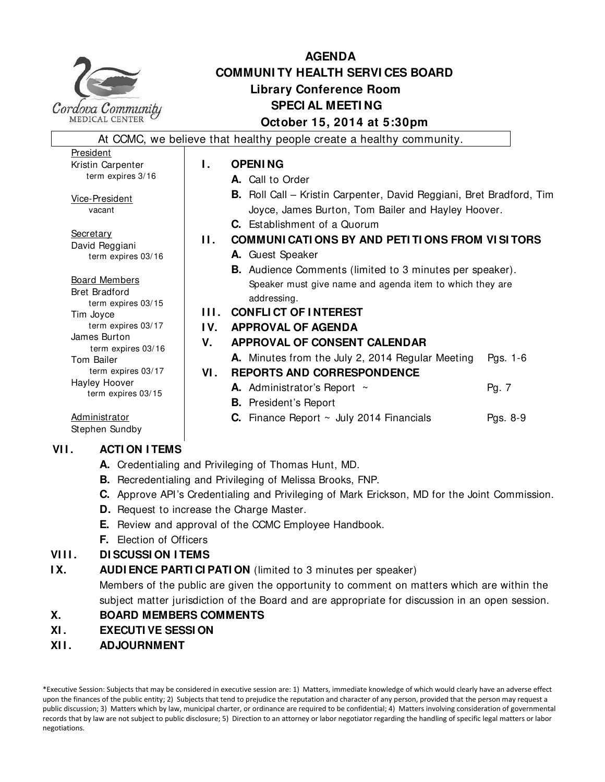

# **AGENDA COMMUNI TY HEALTH SERVI CES BOARD Library Conference Room SPECI AL MEETI NG October 15, 2014 at 5:30pm**

At CCMC, we believe that healthy people create a healthy community. President Kristin Carpenter term expires 3/16 Vice-President vacant **Secretary** David Reggiani term expires 03/16 Board Members Bret Bradford term expires 03/15 Tim Joyce term expires 03/17 James Burton term expires 03/16 Tom Bailer term expires 03/17 Hayley Hoover term expires 03/15 **Administrator** Stephen Sundby **I. OPENING A.** Call to Order **B.** Roll Call – Kristin Carpenter, David Reggiani, Bret Bradford, Tim Joyce, James Burton, Tom Bailer and Hayley Hoover. **C.** Establishment of a Quorum **II. COMMUNI CATI ONS BY AND PETI TI ONS FROM VI SI TORS A.** Guest Speaker **B.** Audience Comments (limited to 3 minutes per speaker). Speaker must give name and agenda item to which they are addressing. **I I I . CONFLI CT OF I NTEREST I V. APPROVAL OF AGENDA V. APPROVAL OF CONSENT CALENDAR A.** Minutes from the July 2, 2014 Regular Meeting Pgs. 1-6 **VI . REPORTS AND CORRESPONDENCE A.** Administrator's Report ~ Pg. 7 **B.** President's Report **C.** Finance Report ~ July 2014 Financials Pgs. 8-9 **VI I . ACTI ON I TEMS**

- **A.** Credentialing and Privileging of Thomas Hunt, MD.
- **B.** Recredentialing and Privileging of Melissa Brooks, FNP.
- **C.** Approve API's Credentialing and Privileging of Mark Erickson, MD for the Joint Commission.
- **D.** Request to increase the Charge Master.
- **E.** Review and approval of the CCMC Employee Handbook.
- **F.** Election of Officers

# **VIII. DI SCUSSI ON I TEMS**

**IX.** AUDI ENCE PARTI CIPATI ON (limited to 3 minutes per speaker)

 Members of the public are given the opportunity to comment on matters which are within the subject matter jurisdiction of the Board and are appropriate for discussion in an open session.

# **X. BOARD MEMBERS COMMENTS**

- **XI . EXECUTI VE SESSI ON**
- **XI I . ADJOURNMENT**

\*Executive Session: Subjects that may be considered in executive session are: 1) Matters, immediate knowledge of which would clearly have an adverse effect upon the finances of the public entity; 2) Subjects that tend to prejudice the reputation and character of any person, provided that the person may request a public discussion; 3) Matters which by law, municipal charter, or ordinance are required to be confidential; 4) Matters involving consideration of governmental records that by law are not subject to public disclosure; 5) Direction to an attorney or labor negotiator regarding the handling of specific legal matters or labor negotiations.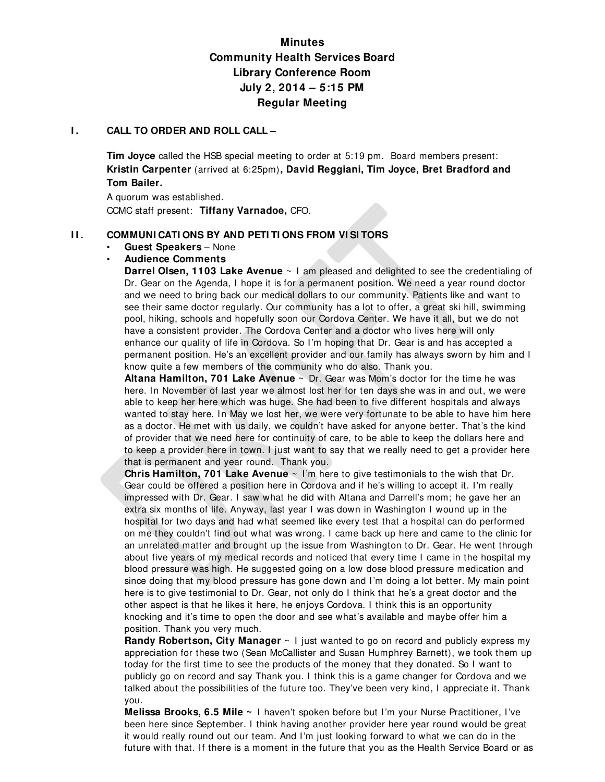# **Minutes Community Health Services Board Library Conference Room July 2, 2014 – 5:15 PM Regular Meeting**

#### **I.** CALL TO ORDER AND ROLL CALL -

**Tim Joyce** called the HSB special meeting to order at 5:19 pm. Board members present: **Kristin Carpenter** (arrived at 6:25pm)**, David Reggiani, Tim Joyce, Bret Bradford and Tom Bailer.** 

A quorum was established. CCMC staff present: **Tiffany Varnadoe,** CFO.

#### **I I . COMMUNI CATI ONS BY AND PETI TI ONS FROM VI SI TORS** • **Guest Speakers** – None

# • **Audience Comments**

**Darrel Olsen, 1103 Lake Avenue** ~ I am pleased and delighted to see the credentialing of Dr. Gear on the Agenda, I hope it is for a permanent position. We need a year round doctor and we need to bring back our medical dollars to our community. Patients like and want to see their same doctor regularly. Our community has a lot to offer, a great ski hill, swimming pool, hiking, schools and hopefully soon our Cordova Center. We have it all, but we do not have a consistent provider. The Cordova Center and a doctor who lives here will only enhance our quality of life in Cordova. So I'm hoping that Dr. Gear is and has accepted a permanent position. He's an excellent provider and our family has always sworn by him and I know quite a few members of the community who do also. Thank you.

**Altana Hamilton, 701 Lake Avenue** ~ Dr. Gear was Mom's doctor for the time he was here. In November of last year we almost lost her for ten days she was in and out, we were able to keep her here which was huge. She had been to five different hospitals and always wanted to stay here. In May we lost her, we were very fortunate to be able to have him here as a doctor. He met with us daily, we couldn't have asked for anyone better. That's the kind of provider that we need here for continuity of care, to be able to keep the dollars here and to keep a provider here in town. I just want to say that we really need to get a provider here that is permanent and year round. Thank you.

**Chris Hamilton, 701 Lake Avenue** ~ I'm here to give testimonials to the wish that Dr. Gear could be offered a position here in Cordova and if he's willing to accept it. I'm really impressed with Dr. Gear. I saw what he did with Altana and Darrell's mom; he gave her an extra six months of life. Anyway, last year I was down in Washington I wound up in the hospital for two days and had what seemed like every test that a hospital can do performed on me they couldn't find out what was wrong. I came back up here and came to the clinic for an unrelated matter and brought up the issue from Washington to Dr. Gear. He went through about five years of my medical records and noticed that every time I came in the hospital my blood pressure was high. He suggested going on a low dose blood pressure medication and since doing that my blood pressure has gone down and I'm doing a lot better. My main point here is to give testimonial to Dr. Gear, not only do I think that he's a great doctor and the other aspect is that he likes it here, he enjoys Cordova. I think this is an opportunity knocking and it's time to open the door and see what's available and maybe offer him a position. Thank you very much.

**Randy Robertson, City Manager**  $\sim$  1 just wanted to go on record and publicly express my appreciation for these two (Sean McCallister and Susan Humphrey Barnett), we took them up today for the first time to see the products of the money that they donated. So I want to publicly go on record and say Thank you. I think this is a game changer for Cordova and we talked about the possibilities of the future too. They've been very kind, I appreciate it. Thank you.

**Melissa Brooks, 6.5 Mile ~** I haven't spoken before but I'm your Nurse Practitioner, I've been here since September. I think having another provider here year round would be great it would really round out our team. And I'm just looking forward to what we can do in the future with that. If there is a moment in the future that you as the Health Service Board or as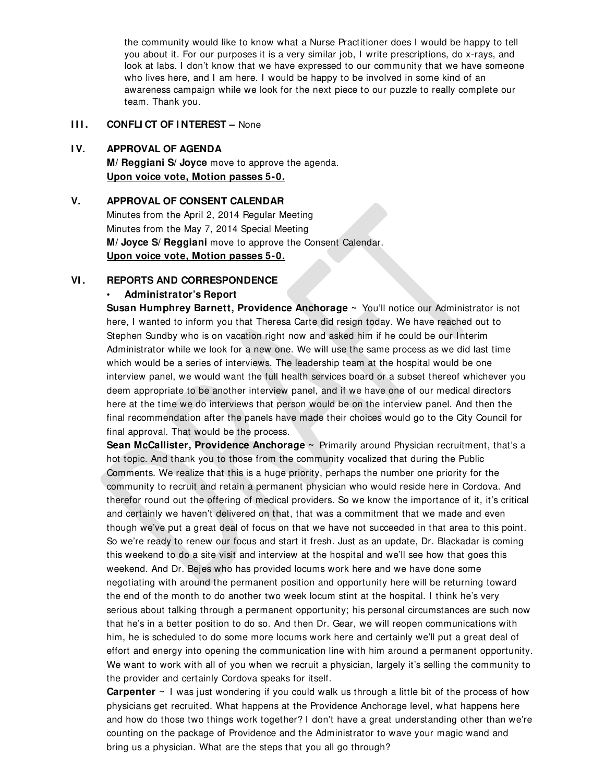the community would like to know what a Nurse Practitioner does I would be happy to tell you about it. For our purposes it is a very similar job, I write prescriptions, do x-rays, and look at labs. I don't know that we have expressed to our community that we have someone who lives here, and I am here. I would be happy to be involved in some kind of an awareness campaign while we look for the next piece to our puzzle to really complete our team. Thank you.

### **III. CONFLICT OF INTEREST – None**

#### **I V. APPROVAL OF AGENDA**

**M/ Reggiani S/ Joyce** move to approve the agenda. **Upon voice vote, Motion passes 5-0.**

#### **V. APPROVAL OF CONSENT CALENDAR**

Minutes from the April 2, 2014 Regular Meeting Minutes from the May 7, 2014 Special Meeting **M/ Joyce S/ Reggiani** move to approve the Consent Calendar. **Upon voice vote, Motion passes 5-0.**

#### **VI . REPORTS AND CORRESPONDENCE**

#### • **Administrator's Report**

**Susan Humphrey Barnett, Providence Anchorage ~** You'll notice our Administrator is not here, I wanted to inform you that Theresa Carte did resign today. We have reached out to Stephen Sundby who is on vacation right now and asked him if he could be our Interim Administrator while we look for a new one. We will use the same process as we did last time which would be a series of interviews. The leadership team at the hospital would be one interview panel, we would want the full health services board or a subset thereof whichever you deem appropriate to be another interview panel, and if we have one of our medical directors here at the time we do interviews that person would be on the interview panel. And then the final recommendation after the panels have made their choices would go to the City Council for final approval. That would be the process.

**Sean McCallister, Providence Anchorage ~** Primarily around Physician recruitment, that's a hot topic. And thank you to those from the community vocalized that during the Public Comments. We realize that this is a huge priority, perhaps the number one priority for the community to recruit and retain a permanent physician who would reside here in Cordova. And therefor round out the offering of medical providers. So we know the importance of it, it's critical and certainly we haven't delivered on that, that was a commitment that we made and even though we've put a great deal of focus on that we have not succeeded in that area to this point. So we're ready to renew our focus and start it fresh. Just as an update, Dr. Blackadar is coming this weekend to do a site visit and interview at the hospital and we'll see how that goes this weekend. And Dr. Bejes who has provided locums work here and we have done some negotiating with around the permanent position and opportunity here will be returning toward the end of the month to do another two week locum stint at the hospital. I think he's very serious about talking through a permanent opportunity; his personal circumstances are such now that he's in a better position to do so. And then Dr. Gear, we will reopen communications with him, he is scheduled to do some more locums work here and certainly we'll put a great deal of effort and energy into opening the communication line with him around a permanent opportunity. We want to work with all of you when we recruit a physician, largely it's selling the community to the provider and certainly Cordova speaks for itself.

**Carpenter ~** I was just wondering if you could walk us through a little bit of the process of how physicians get recruited. What happens at the Providence Anchorage level, what happens here and how do those two things work together? I don't have a great understanding other than we're counting on the package of Providence and the Administrator to wave your magic wand and bring us a physician. What are the steps that you all go through?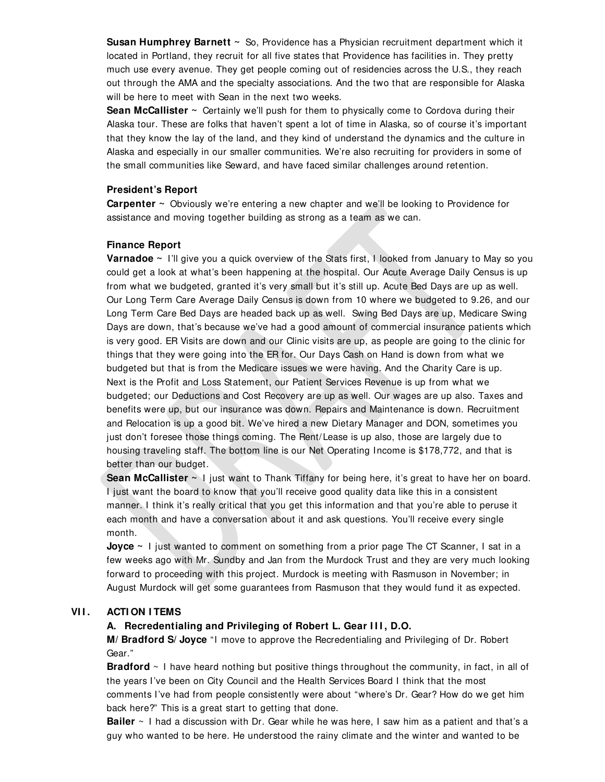**Susan Humphrey Barnett ~** So, Providence has a Physician recruitment department which it located in Portland, they recruit for all five states that Providence has facilities in. They pretty much use every avenue. They get people coming out of residencies across the U.S., they reach out through the AMA and the specialty associations. And the two that are responsible for Alaska will be here to meet with Sean in the next two weeks.

**Sean McCallister** ~ Certainly we'll push for them to physically come to Cordova during their Alaska tour. These are folks that haven't spent a lot of time in Alaska, so of course it's important that they know the lay of the land, and they kind of understand the dynamics and the culture in Alaska and especially in our smaller communities. We're also recruiting for providers in some of the small communities like Seward, and have faced similar challenges around retention.

#### **President's Report**

**Carpenter ~** Obviously we're entering a new chapter and we'll be looking to Providence for assistance and moving together building as strong as a team as we can.

#### **Finance Report**

**Varnadoe ~** I'll give you a quick overview of the Stats first, I looked from January to May so you could get a look at what's been happening at the hospital. Our Acute Average Daily Census is up from what we budgeted, granted it's very small but it's still up. Acute Bed Days are up as well. Our Long Term Care Average Daily Census is down from 10 where we budgeted to 9.26, and our Long Term Care Bed Days are headed back up as well. Swing Bed Days are up, Medicare Swing Days are down, that's because we've had a good amount of commercial insurance patients which is very good. ER Visits are down and our Clinic visits are up, as people are going to the clinic for things that they were going into the ER for. Our Days Cash on Hand is down from what we budgeted but that is from the Medicare issues we were having. And the Charity Care is up. Next is the Profit and Loss Statement, our Patient Services Revenue is up from what we budgeted; our Deductions and Cost Recovery are up as well. Our wages are up also. Taxes and benefits were up, but our insurance was down. Repairs and Maintenance is down. Recruitment and Relocation is up a good bit. We've hired a new Dietary Manager and DON, sometimes you just don't foresee those things coming. The Rent/ Lease is up also, those are largely due to housing traveling staff. The bottom line is our Net Operating Income is \$178,772, and that is better than our budget.

**Sean McCallister** ~ I just want to Thank Tiffany for being here, it's great to have her on board. I just want the board to know that you'll receive good quality data like this in a consistent manner. I think it's really critical that you get this information and that you're able to peruse it each month and have a conversation about it and ask questions. You'll receive every single month.

**Joyce** ~ I just wanted to comment on something from a prior page The CT Scanner, I sat in a few weeks ago with Mr. Sundby and Jan from the Murdock Trust and they are very much looking forward to proceeding with this project. Murdock is meeting with Rasmuson in November; in August Murdock will get some guarantees from Rasmuson that they would fund it as expected.

#### **VI I . ACTI ON I TEMS**

#### **A. Recredentialing and Privileging of Robert L. Gear I I I , D.O.**

**M/ Bradford S/ Joyce** "I move to approve the Recredentialing and Privileging of Dr. Robert Gear."

**Bradford** ~ I have heard nothing but positive things throughout the community, in fact, in all of the years I've been on City Council and the Health Services Board I think that the most comments I've had from people consistently were about "where's Dr. Gear? How do we get him back here?" This is a great start to getting that done.

**Bailer** ~ I had a discussion with Dr. Gear while he was here, I saw him as a patient and that's a guy who wanted to be here. He understood the rainy climate and the winter and wanted to be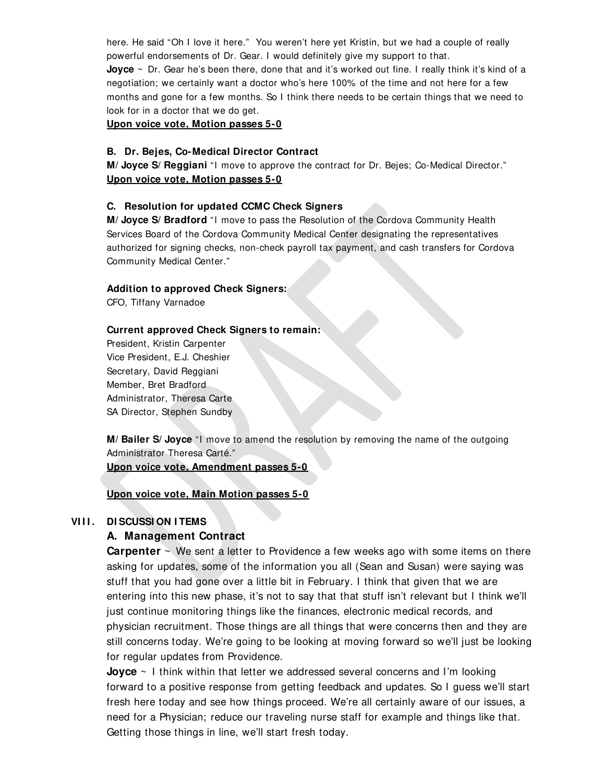here. He said "Oh I love it here." You weren't here yet Kristin, but we had a couple of really powerful endorsements of Dr. Gear. I would definitely give my support to that. **Joyce** ~ Dr. Gear he's been there, done that and it's worked out fine. I really think it's kind of a negotiation; we certainly want a doctor who's here 100% of the time and not here for a few months and gone for a few months. So I think there needs to be certain things that we need to look for in a doctor that we do get.

**Upon voice vote, Motion passes 5-0**

#### **B. Dr. Bejes, Co-Medical Director Contract**

**M/ Joyce S/ Reggiani** "I move to approve the contract for Dr. Bejes; Co-Medical Director." **Upon voice vote, Motion passes 5-0**

#### **C. Resolution for updated CCMC Check Signers**

**M/ Joyce S/ Bradford** "I move to pass the Resolution of the Cordova Community Health Services Board of the Cordova Community Medical Center designating the representatives authorized for signing checks, non-check payroll tax payment, and cash transfers for Cordova Community Medical Center."

#### **Addition to approved Check Signers:**

CFO, Tiffany Varnadoe

#### **Current approved Check Signers to remain:**

President, Kristin Carpenter Vice President, E.J. Cheshier Secretary, David Reggiani Member, Bret Bradford Administrator, Theresa Carte SA Director, Stephen Sundby

**M/ Bailer S/ Joyce** "I move to amend the resolution by removing the name of the outgoing Administrator Theresa Carté."

**Upon voice vote, Amendment passes 5-0** 

**Upon voice vote, Main Motion passes 5-0**

### **VI I I . DI SCUSSI ON I TEMS**

#### **A. Management Contract**

**Carpenter** ~ We sent a letter to Providence a few weeks ago with some items on there asking for updates, some of the information you all (Sean and Susan) were saying was stuff that you had gone over a little bit in February. I think that given that we are entering into this new phase, it's not to say that that stuff isn't relevant but I think we'll just continue monitoring things like the finances, electronic medical records, and physician recruitment. Those things are all things that were concerns then and they are still concerns today. We're going to be looking at moving forward so we'll just be looking for regular updates from Providence.

**Joyce** ~ I think within that letter we addressed several concerns and I'm looking forward to a positive response from getting feedback and updates. So I guess we'll start fresh here today and see how things proceed. We're all certainly aware of our issues, a need for a Physician; reduce our traveling nurse staff for example and things like that. Getting those things in line, we'll start fresh today.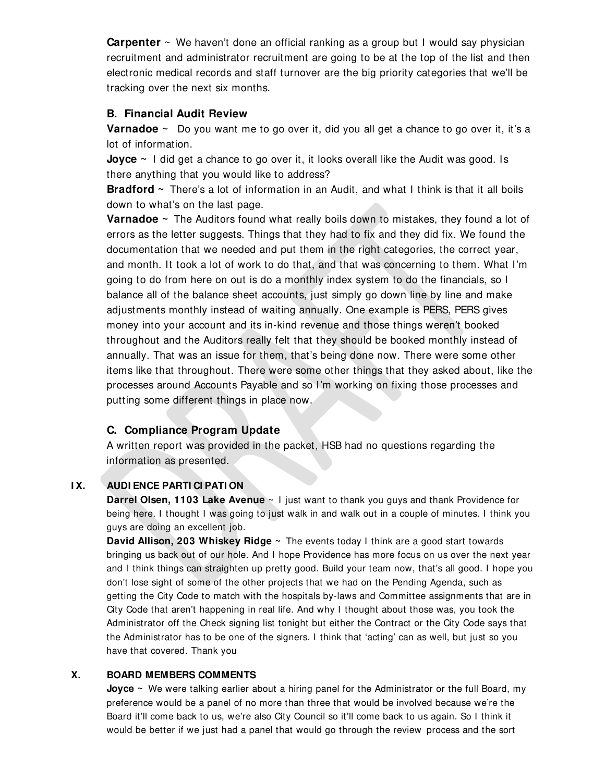**Carpenter** ~ We haven't done an official ranking as a group but I would say physician recruitment and administrator recruitment are going to be at the top of the list and then electronic medical records and staff turnover are the big priority categories that we'll be tracking over the next six months.

### **B. Financial Audit Review**

**Varnadoe ~** Do you want me to go over it, did you all get a chance to go over it, it's a lot of information.

**Joyce** ~ I did get a chance to go over it, it looks overall like the Audit was good. Is there anything that you would like to address?

**Bradford ~** There's a lot of information in an Audit, and what I think is that it all boils down to what's on the last page.

**Varnadoe ~** The Auditors found what really boils down to mistakes, they found a lot of errors as the letter suggests. Things that they had to fix and they did fix. We found the documentation that we needed and put them in the right categories, the correct year, and month. It took a lot of work to do that, and that was concerning to them. What I'm going to do from here on out is do a monthly index system to do the financials, so I balance all of the balance sheet accounts, just simply go down line by line and make adjustments monthly instead of waiting annually. One example is PERS, PERS gives money into your account and its in-kind revenue and those things weren't booked throughout and the Auditors really felt that they should be booked monthly instead of annually. That was an issue for them, that's being done now. There were some other items like that throughout. There were some other things that they asked about, like the processes around Accounts Payable and so I'm working on fixing those processes and putting some different things in place now.

### **C. Compliance Program Update**

A written report was provided in the packet, HSB had no questions regarding the information as presented.

### **I X. AUDI ENCE PARTI CI PATI ON**

**Darrel Olsen, 1103 Lake Avenue**  $\sim$  I just want to thank you guys and thank Providence for being here. I thought I was going to just walk in and walk out in a couple of minutes. I think you guys are doing an excellent job.

**David Allison, 203 Whiskey Ridge ~** The events today I think are a good start towards bringing us back out of our hole. And I hope Providence has more focus on us over the next year and I think things can straighten up pretty good. Build your team now, that's all good. I hope you don't lose sight of some of the other projects that we had on the Pending Agenda, such as getting the City Code to match with the hospitals by-laws and Committee assignments that are in City Code that aren't happening in real life. And why I thought about those was, you took the Administrator off the Check signing list tonight but either the Contract or the City Code says that the Administrator has to be one of the signers. I think that 'acting' can as well, but just so you have that covered. Thank you

### **X. BOARD MEMBERS COMMENTS**

**Joyce** ~ We were talking earlier about a hiring panel for the Administrator or the full Board, my preference would be a panel of no more than three that would be involved because we're the Board it'll come back to us, we're also City Council so it'll come back to us again. So I think it would be better if we just had a panel that would go through the review process and the sort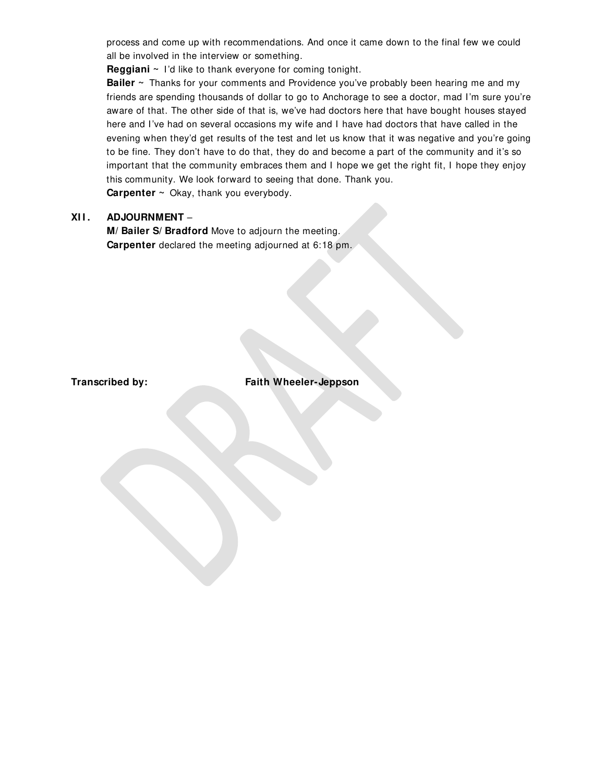process and come up with recommendations. And once it came down to the final few we could all be involved in the interview or something.

**Reggiani ~** I'd like to thank everyone for coming tonight.

**Bailer** ~ Thanks for your comments and Providence you've probably been hearing me and my friends are spending thousands of dollar to go to Anchorage to see a doctor, mad I'm sure you're aware of that. The other side of that is, we've had doctors here that have bought houses stayed here and I've had on several occasions my wife and I have had doctors that have called in the evening when they'd get results of the test and let us know that it was negative and you're going to be fine. They don't have to do that, they do and become a part of the community and it's so important that the community embraces them and I hope we get the right fit, I hope they enjoy this community. We look forward to seeing that done. Thank you.

**Carpenter ~** Okay, thank you everybody.

### **XI I . ADJOURNMENT** –

**M/ Bailer S/ Bradford** Move to adjourn the meeting. **Carpenter** declared the meeting adjourned at 6:18 pm.

**Transcribed by: Faith Wheeler-Jeppson**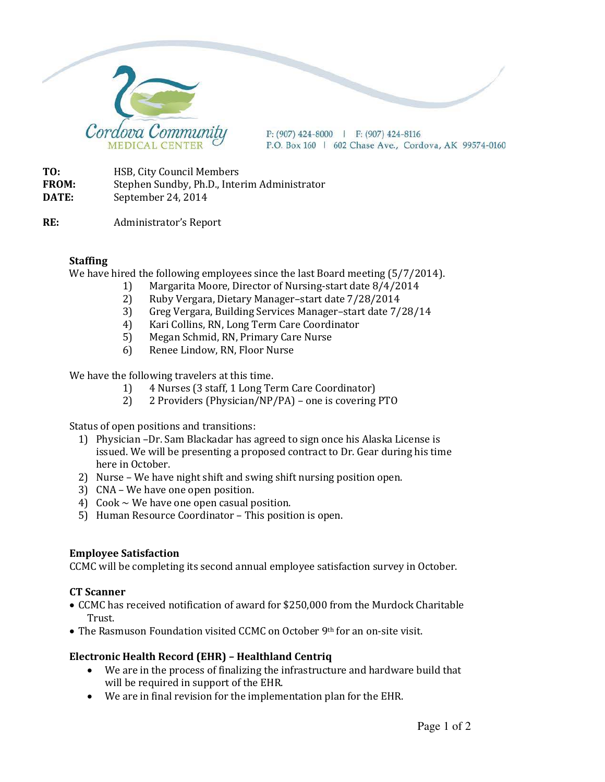

 $P: (907)$  424-8000 | F: (907) 424-8116 P.O. Box 160 | 602 Chase Ave., Cordova, AK 99574-0160

**TO:** HSB, City Council Members **FROM:** Stephen Sundby, Ph.D., Interim Administrator **DATE:** September 24, 2014

**RE:** Administrator's Report

### **Staffing**

We have hired the following employees since the last Board meeting (5/7/2014).

- 1) Margarita Moore, Director of Nursing-start date 8/4/2014
- 2) Ruby Vergara, Dietary Manager–start date 7/28/2014
- 3) Greg Vergara, Building Services Manager–start date 7/28/14
- 4) Kari Collins, RN, Long Term Care Coordinator
- 5) Megan Schmid, RN, Primary Care Nurse
- 6) Renee Lindow, RN, Floor Nurse

We have the following travelers at this time.

- 1) 4 Nurses (3 staff, 1 Long Term Care Coordinator)
- 2) 2 Providers (Physician/NP/PA) one is covering PTO

Status of open positions and transitions:

- 1) Physician –Dr. Sam Blackadar has agreed to sign once his Alaska License is issued. We will be presenting a proposed contract to Dr. Gear during his time here in October.
- 2) Nurse We have night shift and swing shift nursing position open.
- 3) CNA We have one open position.
- 4) Cook  $\sim$  We have one open casual position.
- 5) Human Resource Coordinator This position is open.

### **Employee Satisfaction**

CCMC will be completing its second annual employee satisfaction survey in October.

### **CT Scanner**

- CCMC has received notification of award for \$250,000 from the Murdock Charitable Trust.
- The Rasmuson Foundation visited CCMC on October 9th for an on-site visit.

## **Electronic Health Record (EHR) – Healthland Centriq**

- We are in the process of finalizing the infrastructure and hardware build that will be required in support of the EHR.
- We are in final revision for the implementation plan for the EHR.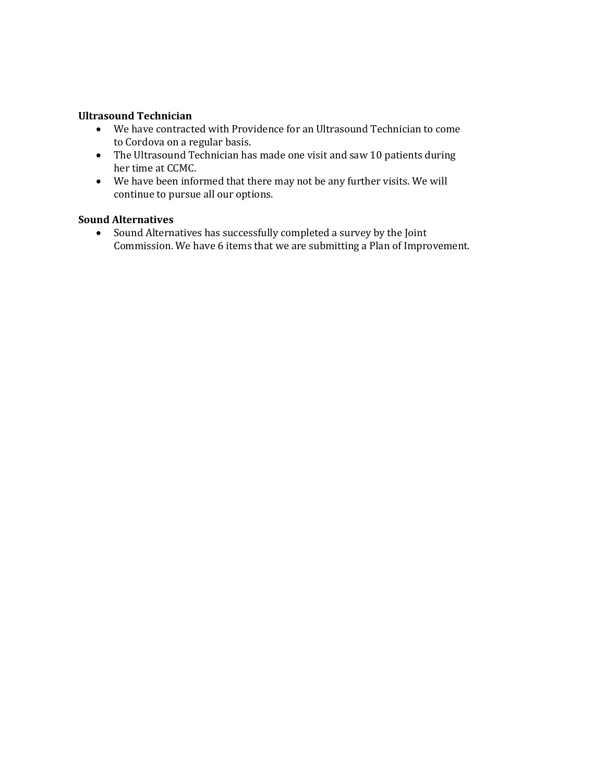### **Ultrasound Technician**

- We have contracted with Providence for an Ultrasound Technician to come to Cordova on a regular basis.
- The Ultrasound Technician has made one visit and saw 10 patients during her time at CCMC.
- We have been informed that there may not be any further visits. We will continue to pursue all our options.

## **Sound Alternatives**

• Sound Alternatives has successfully completed a survey by the Joint Commission. We have 6 items that we are submitting a Plan of Improvement.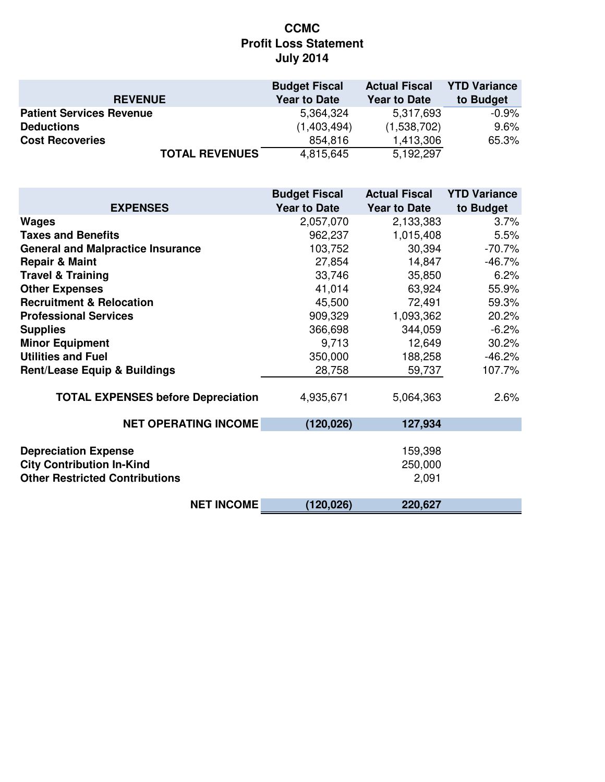# **CCMC Profit Loss Statement July 2014**

|                                 | <b>Budget Fiscal</b> | <b>Actual Fiscal</b> | <b>YTD Variance</b> |
|---------------------------------|----------------------|----------------------|---------------------|
| <b>REVENUE</b>                  | <b>Year to Date</b>  | <b>Year to Date</b>  | to Budget           |
| <b>Patient Services Revenue</b> | 5,364,324            | 5,317,693            | $-0.9\%$            |
| <b>Deductions</b>               | (1,403,494)          | (1,538,702)          | 9.6%                |
| <b>Cost Recoveries</b>          | 854,816              | 1,413,306            | 65.3%               |
| <b>TOTAL REVENUES</b>           | 4,815,645            | 5,192,297            |                     |

|                                                                                                          | <b>Budget Fiscal</b> | <b>Actual Fiscal</b>        | <b>YTD Variance</b> |
|----------------------------------------------------------------------------------------------------------|----------------------|-----------------------------|---------------------|
| <b>EXPENSES</b>                                                                                          | <b>Year to Date</b>  | <b>Year to Date</b>         | to Budget           |
| <b>Wages</b>                                                                                             | 2,057,070            | 2,133,383                   | 3.7%                |
| <b>Taxes and Benefits</b>                                                                                | 962,237              | 1,015,408                   | 5.5%                |
| <b>General and Malpractice Insurance</b>                                                                 | 103,752              | 30,394                      | $-70.7%$            |
| <b>Repair &amp; Maint</b>                                                                                | 27,854               | 14,847                      | $-46.7%$            |
| <b>Travel &amp; Training</b>                                                                             | 33,746               | 35,850                      | 6.2%                |
| <b>Other Expenses</b>                                                                                    | 41,014               | 63,924                      | 55.9%               |
| <b>Recruitment &amp; Relocation</b>                                                                      | 45,500               | 72,491                      | 59.3%               |
| <b>Professional Services</b>                                                                             | 909,329              | 1,093,362                   | 20.2%               |
| <b>Supplies</b>                                                                                          | 366,698              | 344,059                     | $-6.2%$             |
| <b>Minor Equipment</b>                                                                                   | 9,713                | 12,649                      | 30.2%               |
| <b>Utilities and Fuel</b>                                                                                | 350,000              | 188,258                     | $-46.2%$            |
| <b>Rent/Lease Equip &amp; Buildings</b>                                                                  | 28,758               | 59,737                      | 107.7%              |
| <b>TOTAL EXPENSES before Depreciation</b>                                                                | 4,935,671            | 5,064,363                   | 2.6%                |
| <b>NET OPERATING INCOME</b>                                                                              | (120, 026)           | 127,934                     |                     |
| <b>Depreciation Expense</b><br><b>City Contribution In-Kind</b><br><b>Other Restricted Contributions</b> |                      | 159,398<br>250,000<br>2,091 |                     |
| <b>NET INCOME</b>                                                                                        | (120, 026)           | 220,627                     |                     |